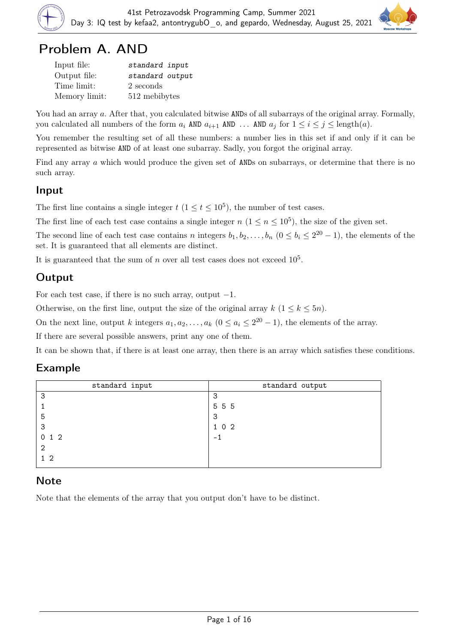

## Problem A. AND

| Input file:   | standard input  |
|---------------|-----------------|
| Output file:  | standard output |
| Time limit:   | 2 seconds       |
| Memory limit: | 512 mebibytes   |

You had an array a. After that, you calculated bitwise ANDs of all subarrays of the original array. Formally, you calculated all numbers of the form  $a_i$  AND  $a_{i+1}$  AND ... AND  $a_j$  for  $1 \le i \le j \le \text{length}(a)$ .

You remember the resulting set of all these numbers: a number lies in this set if and only if it can be represented as bitwise AND of at least one subarray. Sadly, you forgot the original array.

Find any array a which would produce the given set of ANDs on subarrays, or determine that there is no such array.

#### Input

The first line contains a single integer  $t$   $(1 \le t \le 10^5)$ , the number of test cases.

The first line of each test case contains a single integer  $n (1 \le n \le 10^5)$ , the size of the given set.

The second line of each test case contains n integers  $b_1, b_2, \ldots, b_n$   $(0 \le b_i \le 2^{20} - 1)$ , the elements of the set. It is guaranteed that all elements are distinct.

It is guaranteed that the sum of n over all test cases does not exceed  $10<sup>5</sup>$ .

## **Output**

For each test case, if there is no such array, output  $-1$ .

Otherwise, on the first line, output the size of the original array  $k$  ( $1 \leq k \leq 5n$ ).

On the next line, output k integers  $a_1, a_2, \ldots, a_k$   $(0 \le a_i \le 2^{20} - 1)$ , the elements of the array.

If there are several possible answers, print any one of them.

It can be shown that, if there is at least one array, then there is an array which satisfies these conditions.

#### Example

| standard input | standard output |
|----------------|-----------------|
| 3              | 3               |
|                | 5 5 5           |
| 5              | 3               |
| 3              | 102             |
| 012            | $-1$            |
| 2              |                 |
| - 2            |                 |
|                |                 |

#### **Note**

Note that the elements of the array that you output don't have to be distinct.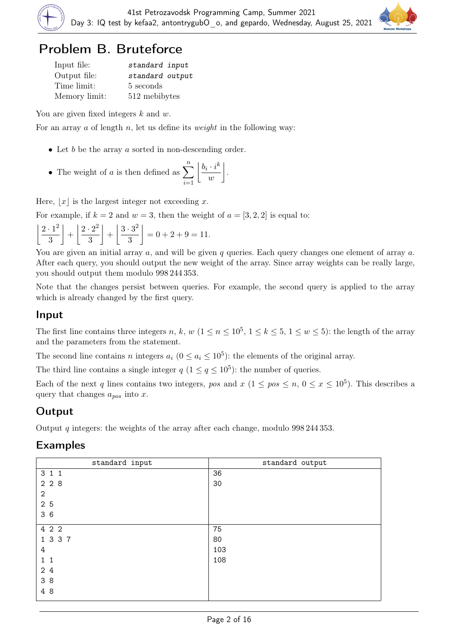

## Problem B. Bruteforce

| Input file:   | standard input  |
|---------------|-----------------|
| Output file:  | standard output |
| Time limit:   | 5 seconds       |
| Memory limit: | 512 mebibytes   |

You are given fixed integers  $k$  and  $w$ .

For an array a of length n, let us define its *weight* in the following way:

- Let  $b$  be the array  $a$  sorted in non-descending order.
- The weight of a is then defined as  $\sum_{n=1}^n$  $i=1$  $|b_i \cdot i^k$  $\omega$ .

Here,  $|x|$  is the largest integer not exceeding x.

For example, if  $k = 2$  and  $w = 3$ , then the weight of  $a = \begin{bmatrix} 3, 2, 2 \end{bmatrix}$  is equal to:

$$
\left\lfloor \frac{2 \cdot 1^2}{3} \right\rfloor + \left\lfloor \frac{2 \cdot 2^2}{3} \right\rfloor + \left\lfloor \frac{3 \cdot 3^2}{3} \right\rfloor = 0 + 2 + 9 = 11.
$$

You are given an initial array  $a$ , and will be given  $q$  queries. Each query changes one element of array  $a$ . After each query, you should output the new weight of the array. Since array weights can be really large, you should output them modulo 998 244 353.

Note that the changes persist between queries. For example, the second query is applied to the array which is already changed by the first query.

#### Input

The first line contains three integers n, k, w  $(1 \le n \le 10^5, 1 \le k \le 5, 1 \le w \le 5)$ : the length of the array and the parameters from the statement.

The second line contains n integers  $a_i$   $(0 \le a_i \le 10^5)$ : the elements of the original array.

The third line contains a single integer  $q (1 \leq q \leq 10^5)$ : the number of queries.

Each of the next q lines contains two integers, pos and  $x (1 \le pos \le n, 0 \le x \le 10^5)$ . This describes a query that changes  $a_{pos}$  into x.

#### **Output**

Output q integers: the weights of the array after each change, modulo  $998\,244\,353$ .

| standard input | standard output |
|----------------|-----------------|
| 3 1 1          | 36              |
| 2 2 8          | 30              |
| $\mathbf{2}$   |                 |
| 2 5            |                 |
| 36             |                 |
| 4 2 2          | 75              |
| 1 3 3 7        | 80              |
| 4              | 103             |
| $1\quad1$      | 108             |
| 2 4            |                 |
| 3 8            |                 |
| 4 8            |                 |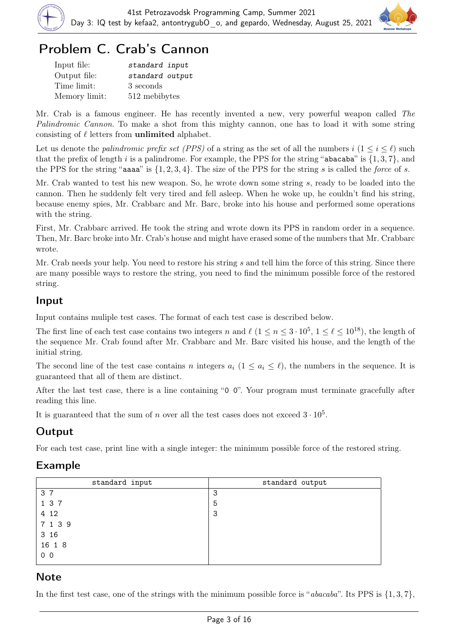



## Problem C. Crab's Cannon

| Input file:   | standard input  |
|---------------|-----------------|
| Output file:  | standard output |
| Time limit:   | 3 seconds       |
| Memory limit: | 512 mebibytes   |

Mr. Crab is a famous engineer. He has recently invented a new, very powerful weapon called The Palindromic Cannon. To make a shot from this mighty cannon, one has to load it with some string consisting of  $\ell$  letters from unlimited alphabet.

Let us denote the *palindromic prefix set (PPS)* of a string as the set of all the numbers  $i$  ( $1 \leq i \leq \ell$ ) such that the prefix of length i is a palindrome. For example, the PPS for the string "abacaba" is  $\{1,3,7\}$ , and the PPS for the string "aasa" is  $\{1, 2, 3, 4\}$ . The size of the PPS for the string s is called the force of s.

Mr. Crab wanted to test his new weapon. So, he wrote down some string s, ready to be loaded into the cannon. Then he suddenly felt very tired and fell asleep. When he woke up, he couldn't find his string, because enemy spies, Mr. Crabbarc and Mr. Barc, broke into his house and performed some operations with the string.

First, Mr. Crabbarc arrived. He took the string and wrote down its PPS in random order in a sequence. Then, Mr. Barc broke into Mr. Crab's house and might have erased some of the numbers that Mr. Crabbarc wrote.

Mr. Crab needs your help. You need to restore his string s and tell him the force of this string. Since there are many possible ways to restore the string, you need to find the minimum possible force of the restored string.

#### Input

Input contains muliple test cases. The format of each test case is described below.

The first line of each test case contains two integers n and  $\ell$   $(1 \le n \le 3 \cdot 10^5, 1 \le \ell \le 10^{18})$ , the length of the sequence Mr. Crab found after Mr. Crabbarc and Mr. Barc visited his house, and the length of the initial string.

The second line of the test case contains n integers  $a_i$  ( $1 \le a_i \le \ell$ ), the numbers in the sequence. It is guaranteed that all of them are distinct.

After the last test case, there is a line containing "0 0". Your program must terminate gracefully after reading this line.

It is guaranteed that the sum of n over all the test cases does not exceed  $3 \cdot 10^5$ .

## **Output**

For each test case, print line with a single integer: the minimum possible force of the restored string.

#### Example

| standard input | standard output |
|----------------|-----------------|
| 3 7            | 3               |
| 1 3 7          | 5               |
| 4 12           | 3               |
| 7 1 3 9        |                 |
| 3 16           |                 |
| 16 1 8         |                 |
| 0 <sub>0</sub> |                 |

#### **Note**

In the first test case, one of the strings with the minimum possible force is "*abacaba*". Its PPS is  $\{1,3,7\}$ ,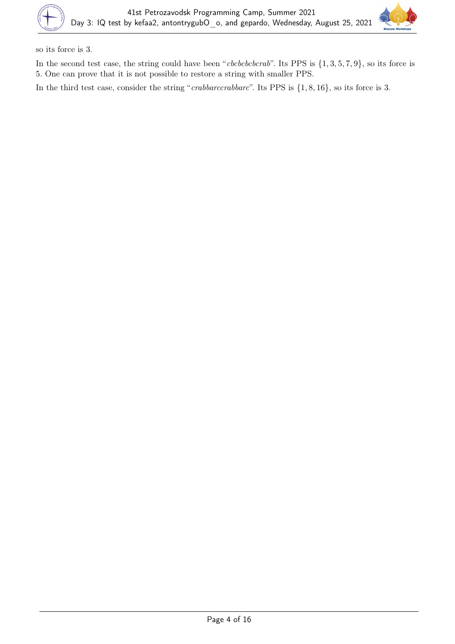

so its force is 3.

In the second test case, the string could have been "*cbcbcbcbcrab*". Its PPS is  $\{1, 3, 5, 7, 9\}$ , so its force is 5. One can prove that it is not possible to restore a string with smaller PPS.

In the third test case, consider the string "crabbarccrabbarc". Its PPS is  $\{1, 8, 16\}$ , so its force is 3.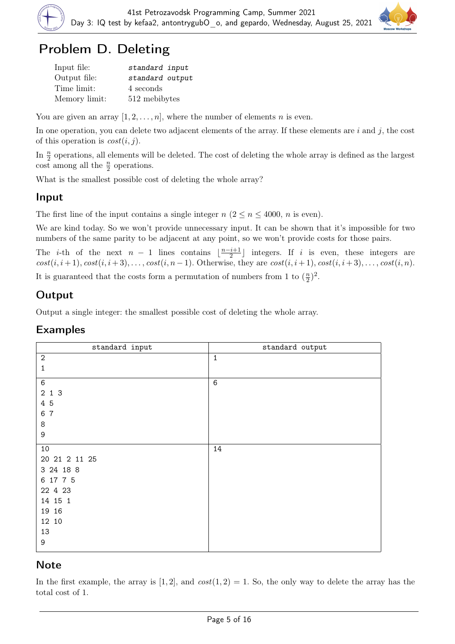

## Problem D. Deleting

| Input file:   | standard input  |
|---------------|-----------------|
| Output file:  | standard output |
| Time limit:   | 4 seconds       |
| Memory limit: | 512 mebibytes   |

You are given an array  $[1, 2, \ldots, n]$ , where the number of elements n is even.

In one operation, you can delete two adjacent elements of the array. If these elements are  $i$  and  $j$ , the cost of this operation is  $cost(i, j)$ .

In  $\frac{n}{2}$  operations, all elements will be deleted. The cost of deleting the whole array is defined as the largest  $\cot$  among all the  $\frac{n}{2}$  operations.

What is the smallest possible cost of deleting the whole array?

#### Input

The first line of the input contains a single integer  $n (2 \le n \le 4000, n$  is even).

We are kind today. So we won't provide unnecessary input. It can be shown that it's impossible for two numbers of the same parity to be adjacent at any point, so we won't provide costs for those pairs.

The *i*-th of the next  $n-1$  lines contains  $\frac{n-i+1}{2}$  $\frac{i+1}{2}$  integers. If *i* is even, these integers are  $cost(i, i+1), cost(i, i+3), \ldots, cost(i, n-1)$ . Otherwise, they are  $cost(i, i+1), cost(i, i+3), \ldots, cost(i, n)$ . It is guaranteed that the costs form a permutation of numbers from 1 to  $(\frac{n}{2})$  $(\frac{n}{2})^2$ .

## Output

Output a single integer: the smallest possible cost of deleting the whole array.

#### Examples

| standard input | standard output |
|----------------|-----------------|
| $\sqrt{2}$     | $\mathbf{1}$    |
| 1              |                 |
| $\,6\,$        | $6\phantom{1}6$ |
| 2 1 3          |                 |
| 4 5            |                 |
| 6 7            |                 |
| 8              |                 |
| 9              |                 |
| 10             | 14              |
| 20 21 2 11 25  |                 |
| 3 24 18 8      |                 |
| 6 17 7 5       |                 |
| 22 4 23        |                 |
| 14 15 1        |                 |
| 19 16          |                 |
| 12 10          |                 |
| 13             |                 |
| 9              |                 |

#### **Note**

In the first example, the array is [1, 2], and  $cost(1, 2) = 1$ . So, the only way to delete the array has the total cost of 1.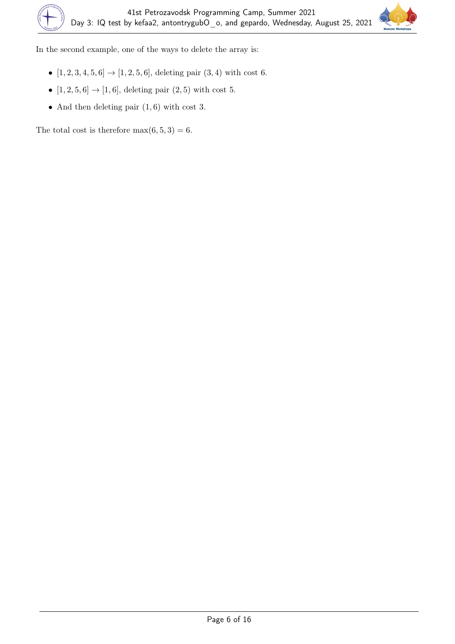

In the second example, one of the ways to delete the array is:

- $[1, 2, 3, 4, 5, 6] \rightarrow [1, 2, 5, 6]$ , deleting pair  $(3, 4)$  with cost 6.
- $[1, 2, 5, 6] \rightarrow [1, 6]$ , deleting pair  $(2, 5)$  with cost 5.
- And then deleting pair  $(1, 6)$  with cost 3.

The total cost is therefore  $max(6, 5, 3) = 6$ .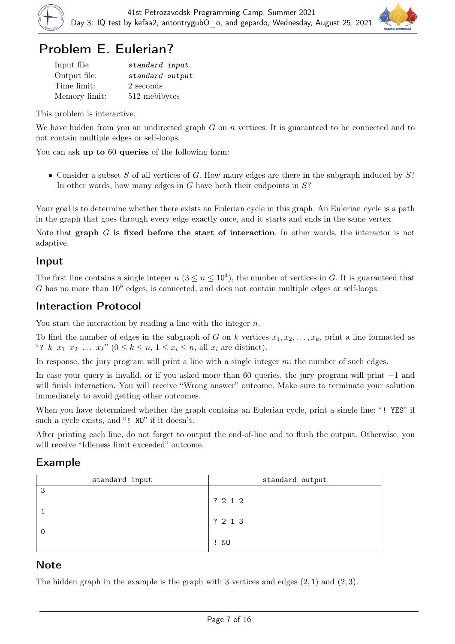

# Problem E. Eulerian?

| Input file:   | standard input  |
|---------------|-----------------|
| Output file:  | standard output |
| Time limit:   | 2 seconds       |
| Memory limit: | 512 mebibytes   |

This problem is interactive.

We have hidden from you an undirected graph  $G$  on  $n$  vertices. It is guaranteed to be connected and to not contain multiple edges or self-loops.

You can ask up to 60 queries of the following form:

• Consider a subset S of all vertices of G. How many edges are there in the subgraph induced by  $S$ ? In other words, how many edges in  $G$  have both their endpoints in  $S$ ?

Your goal is to determine whether there exists an Eulerian cycle in this graph. An Eulerian cycle is a path in the graph that goes through every edge exactly once, and it starts and ends in the same vertex.

Note that graph  $G$  is fixed before the start of interaction. In other words, the interactor is not adaptive.

#### Input

The first line contains a single integer  $n (3 \le n \le 10^4)$ , the number of vertices in G. It is guaranteed that G has no more than  $10^5$  edges, is connected, and does not contain multiple edges or self-loops.

#### Interaction Protocol

You start the interaction by reading a line with the integer  $n$ .

To find the number of edges in the subgraph of G on k vertices  $x_1, x_2, \ldots, x_k$ , print a line formatted as "?  $k \ x_1 \ x_2 \ \ldots \ x_k$ "  $(0 \leq k \leq n, 1 \leq x_i \leq n, \text{ all } x_i \text{ are distinct}).$ 

In response, the jury program will print a line with a single integer m: the number of such edges.

In case your query is invalid, or if you asked more than 60 queries, the jury program will print −1 and will finish interaction. You will receive "Wrong answer" outcome. Make sure to terminate your solution immediately to avoid getting other outcomes.

When you have determined whether the graph contains an Eulerian cycle, print a single line: "! YES" if such a cycle exists, and "! NO" if it doesn't.

After printing each line, do not forget to output the end-of-line and to flush the output. Otherwise, you will receive "Idleness limit exceeded" outcome.

#### Example

| standard input | standard output |
|----------------|-----------------|
| 3              | ? 2 1 2         |
|                | ? 2 1 3         |
|                |                 |
|                | $\mathbf{I}$ NO |

#### **Note**

The hidden graph in the example is the graph with 3 vertices and edges  $(2, 1)$  and  $(2, 3)$ .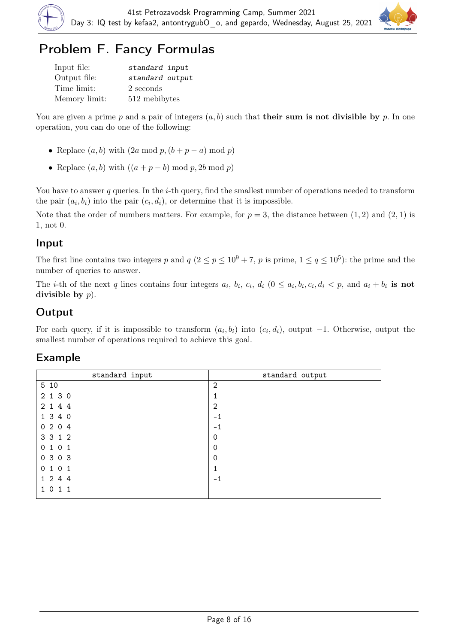

# Problem F. Fancy Formulas

| Input file:   | standard input  |
|---------------|-----------------|
| Output file:  | standard output |
| Time limit:   | 2 seconds       |
| Memory limit: | 512 mebibytes   |

You are given a prime p and a pair of integers  $(a, b)$  such that **their sum is not divisible by** p. In one operation, you can do one of the following:

- Replace  $(a, b)$  with  $(2a \mod p, (b + p a) \mod p)$
- Replace  $(a, b)$  with  $((a + p b) \mod p, 2b \mod p)$

You have to answer q queries. In the i-th query, find the smallest number of operations needed to transform the pair  $(a_i, b_i)$  into the pair  $(c_i, d_i)$ , or determine that it is impossible.

Note that the order of numbers matters. For example, for  $p = 3$ , the distance between  $(1, 2)$  and  $(2, 1)$  is 1, not 0.

#### Input

The first line contains two integers p and  $q (2 \le p \le 10^9 + 7, p$  is prime,  $1 \le q \le 10^5$ ): the prime and the number of queries to answer.

The *i*-th of the next q lines contains four integers  $a_i$ ,  $b_i$ ,  $c_i$ ,  $d_i$  ( $0 \le a_i$ ,  $b_i$ ,  $c_i$ ,  $d_i < p$ , and  $a_i + b_i$  is not divisible by  $p$ ).

## **Output**

For each query, if it is impossible to transform  $(a_i, b_i)$  into  $(c_i, d_i)$ , output  $-1$ . Otherwise, output the smallest number of operations required to achieve this goal.

| standard output |
|-----------------|
| $\mathbf{2}$    |
| ┻               |
| 2               |
| $-1$            |
| $-1$            |
| 0               |
| $\mathbf 0$     |
| $\Omega$        |
| ┻               |
| $-1$            |
|                 |
|                 |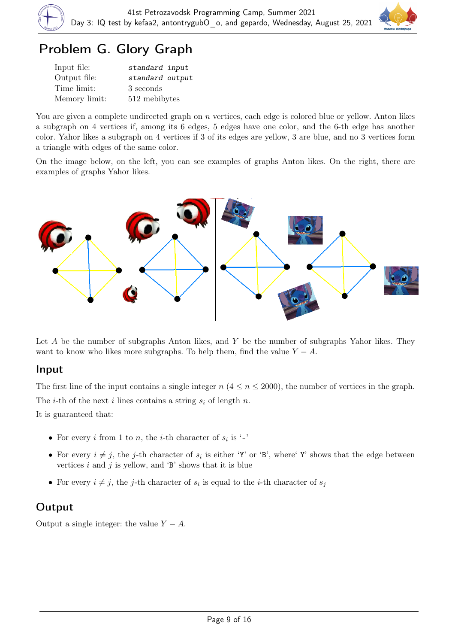

## Problem G. Glory Graph

| Input file:   | standard input  |
|---------------|-----------------|
| Output file:  | standard output |
| Time limit:   | 3 seconds       |
| Memory limit: | 512 mebibytes   |

You are given a complete undirected graph on n vertices, each edge is colored blue or yellow. Anton likes a subgraph on 4 vertices if, among its 6 edges, 5 edges have one color, and the 6-th edge has another color. Yahor likes a subgraph on 4 vertices if 3 of its edges are yellow, 3 are blue, and no 3 vertices form a triangle with edges of the same color.

On the image below, on the left, you can see examples of graphs Anton likes. On the right, there are examples of graphs Yahor likes.



Let  $A$  be the number of subgraphs Anton likes, and  $Y$  be the number of subgraphs Yahor likes. They want to know who likes more subgraphs. To help them, find the value  $Y - A$ .

#### Input

The first line of the input contains a single integer  $n$  ( $4 \le n \le 2000$ ), the number of vertices in the graph. The *i*-th of the next *i* lines contains a string  $s_i$  of length n. It is guaranteed that:

- For every *i* from 1 to *n*, the *i*-th character of  $s_i$  is '-'
- For every  $i \neq j$ , the j-th character of  $s_i$  is either 'Y' or 'B', where' Y' shows that the edge between vertices  $i$  and  $j$  is yellow, and  $\mathcal{B}'$  shows that it is blue
- For every  $i \neq j$ , the j-th character of  $s_i$  is equal to the *i*-th character of  $s_j$

## **Output**

Output a single integer: the value  $Y - A$ .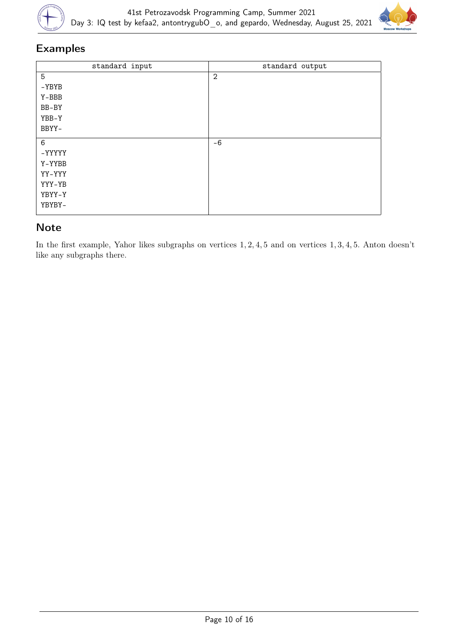



#### Examples

| standard input | standard output |
|----------------|-----------------|
| 5              | $\overline{2}$  |
| $-YBYB$        |                 |
| Y-BBB          |                 |
| BB-BY          |                 |
| YBB-Y          |                 |
| BBYY-          |                 |
|                |                 |
| $\,6$          | $-6$            |
| -YYYYY         |                 |
| Y-YYBB         |                 |
| YY-YYY         |                 |
| YYY-YB         |                 |
| YBYY-Y         |                 |
| YBYBY-         |                 |
|                |                 |

#### Note

In the first example, Yahor likes subgraphs on vertices 1, 2, 4, 5 and on vertices 1, 3, 4, 5. Anton doesn't like any subgraphs there.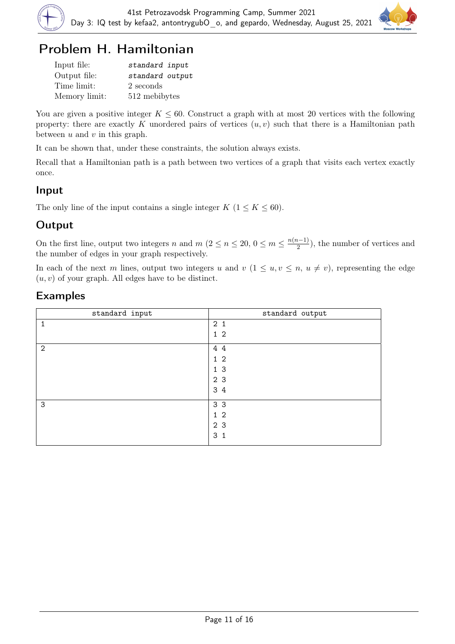



## Problem H. Hamiltonian

| Input file:   | standard input  |
|---------------|-----------------|
| Output file:  | standard output |
| Time limit:   | 2 seconds       |
| Memory limit: | 512 mebibytes   |

You are given a positive integer  $K \leq 60$ . Construct a graph with at most 20 vertices with the following property: there are exactly K unordered pairs of vertices  $(u, v)$  such that there is a Hamiltonian path between  $u$  and  $v$  in this graph.

It can be shown that, under these constraints, the solution always exists.

Recall that a Hamiltonian path is a path between two vertices of a graph that visits each vertex exactly once.

#### Input

The only line of the input contains a single integer  $K$  ( $1 \leq K \leq 60$ ).

## Output

On the first line, output two integers n and  $m (2 \le n \le 20, 0 \le m \le \frac{n(n-1)}{2})$  $\frac{i-1}{2}$ , the number of vertices and the number of edges in your graph respectively.

In each of the next m lines, output two integers u and  $v$   $(1 \le u, v \le n, u \ne v)$ , representing the edge  $(u, v)$  of your graph. All edges have to be distinct.

| standard input | standard output |
|----------------|-----------------|
|                | 2 <sub>1</sub>  |
|                | $1\,2$          |
| 2              | 4 4             |
|                | $1\,2$          |
|                | 1 <sub>3</sub>  |
|                | 2 <sub>3</sub>  |
|                | 3 4             |
| 3              | 3 <sub>3</sub>  |
|                | $1\,2$          |
|                | 2 3             |
|                | 3 <sub>1</sub>  |
|                |                 |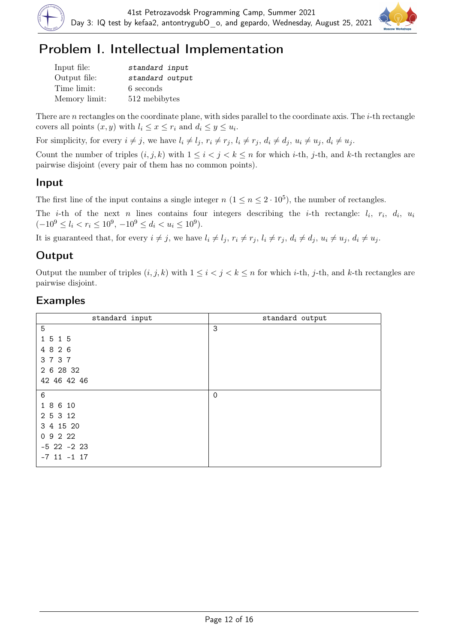



# Problem I. Intellectual Implementation

| Input file:   | standard input  |
|---------------|-----------------|
| Output file:  | standard output |
| Time limit:   | 6 seconds       |
| Memory limit: | 512 mebibytes   |

There are n rectangles on the coordinate plane, with sides parallel to the coordinate axis. The i-th rectangle covers all points  $(x, y)$  with  $l_i \leq x \leq r_i$  and  $d_i \leq y \leq u_i$ .

For simplicity, for every  $i \neq j$ , we have  $l_i \neq l_j$ ,  $r_i \neq r_j$ ,  $l_i \neq r_j$ ,  $d_i \neq d_j$ ,  $u_i \neq u_j$ ,  $d_i \neq u_j$ .

Count the number of triples  $(i, j, k)$  with  $1 \leq i < j < k \leq n$  for which *i*-th, *j*-th, and *k*-th rectangles are pairwise disjoint (every pair of them has no common points).

#### Input

The first line of the input contains a single integer  $n (1 \le n \le 2 \cdot 10^5)$ , the number of rectangles.

The *i*-th of the next *n* lines contains four integers describing the *i*-th rectangle:  $l_i$ ,  $r_i$ ,  $d_i$ ,  $u_i$  $(-10^9 \le l_i < r_i \le 10^9, -10^9 \le d_i < u_i \le 10^9).$ 

It is guaranteed that, for every  $i \neq j$ , we have  $l_i \neq l_j$ ,  $r_i \neq r_j$ ,  $l_i \neq r_j$ ,  $d_i \neq d_j$ ,  $u_i \neq u_j$ ,  $d_i \neq u_j$ .

## **Output**

Output the number of triples  $(i, j, k)$  with  $1 \leq i < j < k \leq n$  for which *i*-th, *j*-th, and *k*-th rectangles are pairwise disjoint.

| standard input  | standard output |
|-----------------|-----------------|
| 5               | 3               |
| 1 5 1 5         |                 |
| 4 8 2 6         |                 |
| 3737            |                 |
| 2 6 28 32       |                 |
| 42 46 42 46     |                 |
| $\,6$           | $\mathbf 0$     |
| 1 8 6 10        |                 |
| 2 5 3 12        |                 |
| 3 4 15 20       |                 |
| 09222           |                 |
| $-5$ 22 $-2$ 23 |                 |
| $-7$ 11 $-1$ 17 |                 |
|                 |                 |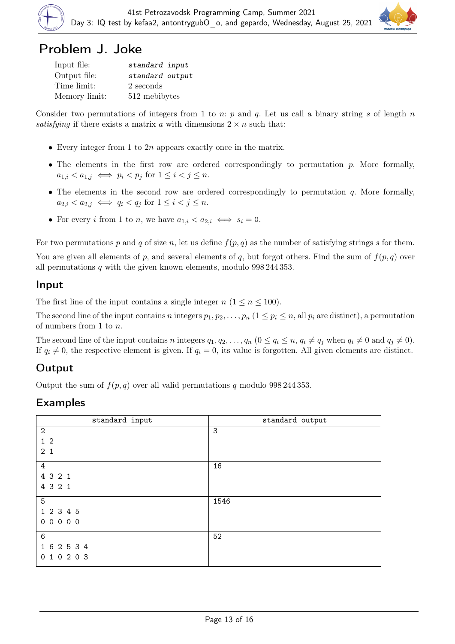

## Problem J. Joke

| Input file:   | standard input  |
|---------------|-----------------|
| Output file:  | standard output |
| Time limit:   | 2 seconds       |
| Memory limit: | 512 mebibytes   |

Consider two permutations of integers from 1 to n: p and q. Let us call a binary string s of length n satisfying if there exists a matrix a with dimensions  $2 \times n$  such that:

- Every integer from 1 to  $2n$  appears exactly once in the matrix.
- The elements in the first row are ordered correspondingly to permutation  $p$ . More formally,  $a_{1,i} < a_{1,j} \iff p_i < p_j \text{ for } 1 \leq i < j \leq n.$
- The elements in the second row are ordered correspondingly to permutation  $q$ . More formally,  $a_{2,i} < a_{2,j} \iff q_i < q_j \text{ for } 1 \leq i < j \leq n.$
- For every *i* from 1 to *n*, we have  $a_{1,i} < a_{2,i} \iff s_i = 0$ .

For two permutations p and q of size n, let us define  $f(p,q)$  as the number of satisfying strings s for them. You are given all elements of p, and several elements of q, but forgot others. Find the sum of  $f(p,q)$  over all permutations  $q$  with the given known elements, modulo 998 244 353.

#### Input

The first line of the input contains a single integer  $n (1 \le n \le 100)$ .

The second line of the input contains n integers  $p_1, p_2, \ldots, p_n$   $(1 \leq p_i \leq n$ , all  $p_i$  are distinct), a permutation of numbers from 1 to n.

The second line of the input contains n integers  $q_1, q_2, \ldots, q_n$   $(0 \le q_i \le n, q_i \ne q_j$  when  $q_i \ne 0$  and  $q_j \ne 0$ ). If  $q_i \neq 0$ , the respective element is given. If  $q_i = 0$ , its value is forgotten. All given elements are distinct.

#### **Output**

Output the sum of  $f(p,q)$  over all valid permutations q modulo 998 244 353.

| standard input | standard output |
|----------------|-----------------|
| $\mathbf{2}$   | 3               |
| 1 <sub>2</sub> |                 |
| 2 <sub>1</sub> |                 |
| $\overline{4}$ | 16              |
| 4 3 2 1        |                 |
| 4 3 2 1        |                 |
| 5              | 1546            |
| 1 2 3 4 5      |                 |
| 00000          |                 |
| 6              | 52              |
| 1 6 2 5 3 4    |                 |
| 0 1 0 2 0 3    |                 |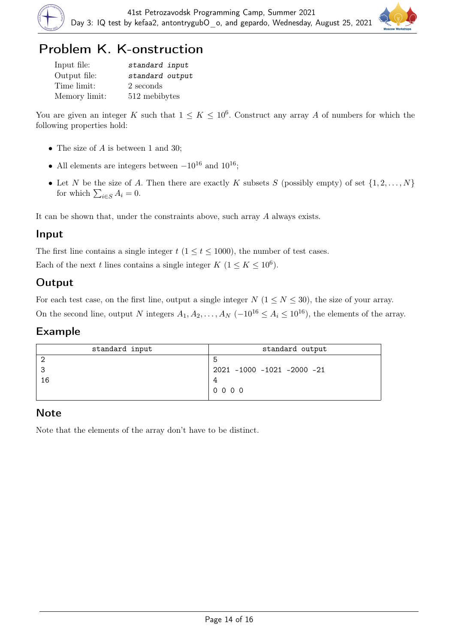

# Problem K. K-onstruction

| Input file:   | standard input  |
|---------------|-----------------|
| Output file:  | standard output |
| Time limit:   | 2 seconds       |
| Memory limit: | 512 mebibytes   |

You are given an integer K such that  $1 \leq K \leq 10^6$ . Construct any array A of numbers for which the following properties hold:

- The size of  $A$  is between 1 and 30;
- All elements are integers between  $-10^{16}$  and  $10^{16}$ ;
- Let N be the size of A. Then there are exactly K subsets S (possibly empty) of set  $\{1, 2, \ldots, N\}$ for which  $\sum_{i \in S} A_i = 0$ .

It can be shown that, under the constraints above, such array A always exists.

#### Input

The first line contains a single integer  $t$  ( $1 \le t \le 1000$ ), the number of test cases.

Each of the next t lines contains a single integer  $K$   $(1 \leq K \leq 10^6)$ .

## **Output**

For each test case, on the first line, output a single integer  $N$  ( $1 \le N \le 30$ ), the size of your array. On the second line, output N integers  $A_1, A_2, \ldots, A_N$  ( $-10^{16} \le A_i \le 10^{16}$ ), the elements of the array.

#### Example

| standard input | standard output            |
|----------------|----------------------------|
|                |                            |
| ິ              | 2021 -1000 -1021 -2000 -21 |
| 16             |                            |
|                | $0000$                     |

## Note

Note that the elements of the array don't have to be distinct.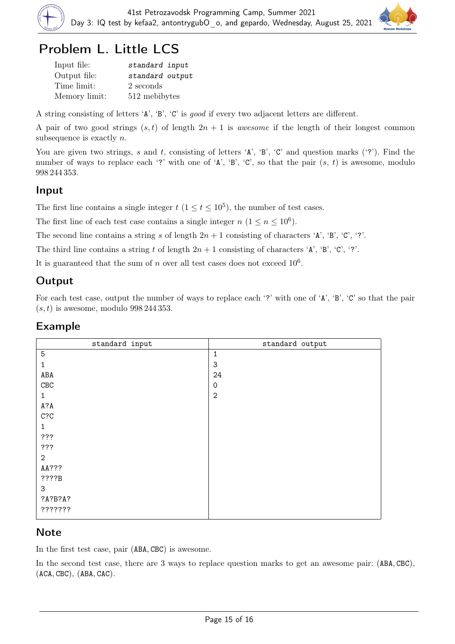

## Problem L. Little LCS

| Input file:   | standard input  |
|---------------|-----------------|
| Output file:  | standard output |
| Time limit:   | 2 seconds       |
| Memory limit: | 512 mebibytes   |

A string consisting of letters 'A', 'B', 'C' is good if every two adjacent letters are different.

A pair of two good strings  $(s, t)$  of length  $2n + 1$  is *awesome* if the length of their longest common subsequence is exactly *n*.

You are given two strings, s and t, consisting of letters  $A$ ,  $B$ ,  $C$  and question marks ( $\gamma$ ). Find the number of ways to replace each '?' with one of 'A', 'B', 'C', so that the pair  $(s, t)$  is awesome, modulo 998 244 353.

#### Input

The first line contains a single integer  $t$   $(1 \le t \le 10^5)$ , the number of test cases.

The first line of each test case contains a single integer  $n (1 \le n \le 10^6)$ .

The second line contains a string s of length  $2n + 1$  consisting of characters 'A', 'B', 'C', '?'.

The third line contains a string t of length  $2n + 1$  consisting of characters 'A', 'B', 'C', '?'.

It is guaranteed that the sum of n over all test cases does not exceed  $10^6$ .

#### **Output**

For each test case, output the number of ways to replace each '?' with one of 'A', 'B', 'C' so that the pair  $(s, t)$  is awesome, modulo 998 244 353.

| standard input | standard output     |
|----------------|---------------------|
| $\overline{5}$ | $\mathbf{1}$        |
| 1              | 3                   |
| ABA            | 24                  |
| ${\tt CBC}$    | $\mathsf{O}\xspace$ |
| $\mathbf{1}$   | $\overline{2}$      |
| A?A            |                     |
| C?C            |                     |
| 1              |                     |
| ???            |                     |
| ???            |                     |
| $\mathbf{2}$   |                     |
| AA???          |                     |
| ???B           |                     |
| $\mathbf{3}$   |                     |
| ?A?B?A?        |                     |
| 7777777        |                     |

#### Example

#### **Note**

In the first test case, pair (ABA, CBC) is awesome.

In the second test case, there are 3 ways to replace question marks to get an awesome pair: (ABA, CBC), (ACA, CBC), (ABA, CAC).